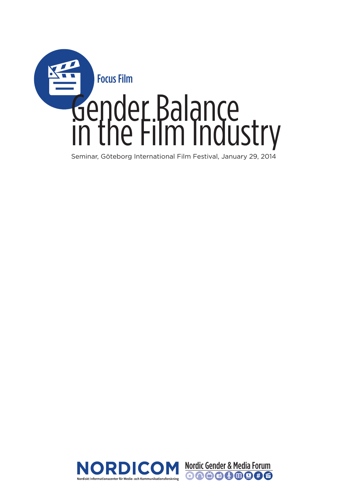

Seminar, Göteborg International Film Festival, January 29, 2014

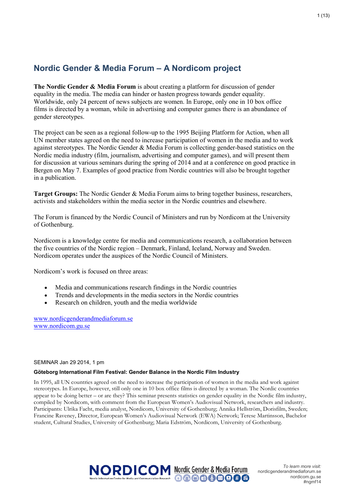# **Nordic Gender & Media Forum – A Nordicom project**

**The Nordic Gender & Media Forum** is about creating a platform for discussion of gender equality in the media. The media can hinder or hasten progress towards gender equality. Worldwide, only 24 percent of news subjects are women. In Europe, only one in 10 box office films is directed by a woman, while in advertising and computer games there is an abundance of gender stereotypes.

The project can be seen as a regional follow-up to the 1995 Beijing Platform for Action, when all UN member states agreed on the need to increase participation of women in the media and to work against stereotypes. The Nordic Gender & Media Forum is collecting gender-based statistics on the Nordic media industry (film, journalism, advertising and computer games), and will present them for discussion at various seminars during the spring of 2014 and at a conference on good practice in Bergen on May 7. Examples of good practice from Nordic countries will also be brought together in a publication.

**Target Groups:** The Nordic Gender & Media Forum aims to bring together business, researchers, activists and stakeholders within the media sector in the Nordic countries and elsewhere.

The Forum is financed by the Nordic Council of Ministers and run by Nordicom at the University of Gothenburg.

Nordicom is a knowledge centre for media and communications research, a collaboration between the five countries of the Nordic region – Denmark, Finland, Iceland, Norway and Sweden. Nordicom operates under the auspices of the Nordic Council of Ministers.

Nordicom's work is focused on three areas:

- Media and communications research findings in the Nordic countries
- Trends and developments in the media sectors in the Nordic countries
- Research on children, youth and the media worldwide

www.nordicgenderandmediaforum.se www.nordicom.gu.se

#### SEMINAR Jan 29 2014, 1 pm

#### **Göteborg International Film Festival: Gender Balance in the Nordic Film Industry**

In 1995, all UN countries agreed on the need to increase the participation of women in the media and work against stereotypes. In Europe, however, still only one in 10 box office films is directed by a woman. The Nordic countries appear to be doing better – or are they? This seminar presents statistics on gender equality in the Nordic film industry, compiled by Nordicom, with comment from the European Women's Audiovisual Network, researchers and industry. Participants: Ulrika Facht, media analyst, Nordicom, University of Gothenburg; Annika Hellström, Dorisfilm, Sweden; Francine Raveney, Director, European Women's Audiovisual Network (EWA) Network; Terese Martinsson, Bachelor student, Cultural Studies, University of Gothenburg; Maria Edström, Nordicom, University of Gothenburg.

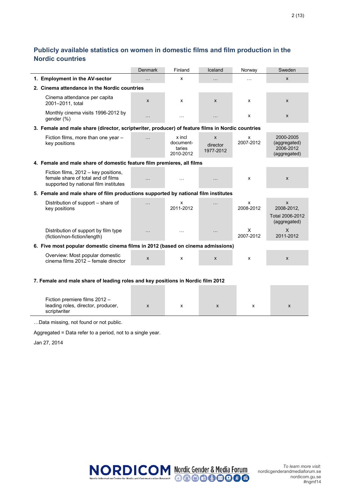## **Publicly available statistics on women in domestic films and film production in the Nordic countries**

|                                                                                                                     | <b>Denmark</b> | Finland                                    | Iceland                    | Norway         | Sweden                                                 |  |  |  |
|---------------------------------------------------------------------------------------------------------------------|----------------|--------------------------------------------|----------------------------|----------------|--------------------------------------------------------|--|--|--|
| 1. Employment in the AV-sector                                                                                      | $\cdots$       | X                                          | $\cdots$                   | $\cdots$       | $\mathsf{x}$                                           |  |  |  |
| 2. Cinema attendance in the Nordic countries                                                                        |                |                                            |                            |                |                                                        |  |  |  |
| Cinema attendance per capita<br>2001-2011, total                                                                    | X              | X                                          | X                          | x              | X                                                      |  |  |  |
| Monthly cinema visits 1996-2012 by<br>gender (%)                                                                    | $\ddotsc$      | $\ldots$                                   | $\cdots$                   | x              | $\boldsymbol{\mathsf{x}}$                              |  |  |  |
| 3. Female and male share (director, scriptwriter, producer) of feature films in Nordic countries                    |                |                                            |                            |                |                                                        |  |  |  |
| Fiction films, more than one year -<br>key positions                                                                | $\cdots$       | x incl<br>document-<br>taries<br>2010-2012 | X<br>director<br>1977-2012 | x<br>2007-2012 | 2000-2005<br>(aggregated)<br>2006-2012<br>(aggregated) |  |  |  |
| 4. Female and male share of domestic feature film premieres, all films                                              |                |                                            |                            |                |                                                        |  |  |  |
| Fiction films, 2012 - key positions,<br>female share of total and of films<br>supported by national film institutes | $\cdots$       | $\cdots$                                   | $\cdots$                   | X              | $\mathsf{x}$                                           |  |  |  |
| 5. Female and male share of film productions supported by national film institutes                                  |                |                                            |                            |                |                                                        |  |  |  |
| Distribution of support – share of<br>key positions                                                                 | $\cdots$       | x<br>2011-2012                             | .                          | x<br>2008-2012 | X<br>2008-2012,<br>Total 2006-2012<br>(aggregated)     |  |  |  |
| Distribution of support by film type<br>(fiction/non-fiction/length)                                                | .              | $\ddotsc$                                  | $\cdots$                   | X<br>2007-2012 | X<br>2011-2012                                         |  |  |  |
| 6. Five most popular domestic cinema films in 2012 (based on cinema admissions)                                     |                |                                            |                            |                |                                                        |  |  |  |
| Overview: Most popular domestic<br>cinema films 2012 - female director                                              | X              | x                                          | X                          | x              | X                                                      |  |  |  |
|                                                                                                                     |                |                                            |                            |                |                                                        |  |  |  |

#### **7. Female and male share of leading roles and key positions in Nordic film 2012**

| Fiction premiere films $2012 -$<br>leading roles, director, producer,<br>scriptwriter |  |  |  |
|---------------------------------------------------------------------------------------|--|--|--|

…Data missing, not found or not public.

Aggregated = Data refer to a period, not to a single year.

Jan 27, 2014



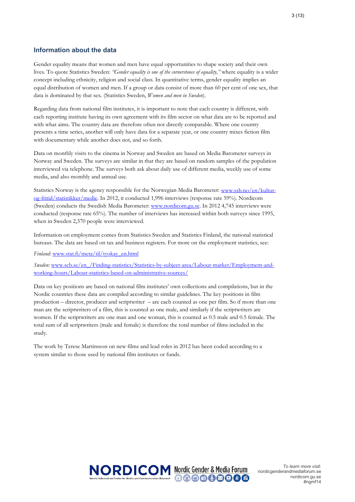#### **Information about the data**

Gender equality means that women and men have equal opportunities to shape society and their own lives. To quote Statistics Sweden: *"Gender equality is one of the cornerstones of equality,"* where equality is a wider concept including ethnicity, religion and social class. In quantitative terms, gender equality implies an equal distribution of women and men. If a group or data consist of more than 60 per cent of one sex, that data is dominated by that sex. (Statistics Sweden, *Women and men in Sweden*).

Regarding data from national film institutes, it is important to note that each country is different, with each reporting institute having its own agreement with its film sector on what data are to be reported and with what aims. The country data are therefore often not directly comparable. Where one country presents a time series, another will only have data for a separate year, or one country mixes fiction film with documentary while another does not, and so forth.

Data on monthly visits to the cinema in Norway and Sweden are based on Media Barometer surveys in Norway and Sweden. The surveys are similar in that they are based on random samples of the population interviewed via telephone. The surveys both ask about daily use of different media, weekly use of some media, and also monthly and annual use.

Statistics Norway is the agency responsible for the Norwegian Media Barometer: www.ssb.no/en/kulturog-fritid/statistikker/medie. In 2012, it conducted 1,996 interviews (response rate 59%). Nordicom (Sweden) conducts the Swedish Media Barometer: www.nordicom.gu.se. In 2012 4,745 interviews were conducted (response rate 65%). The number of interviews has increased within both surveys since 1995, when in Sweden 2,370 people were interviewed.

Information on employment comes from Statistics Sweden and Statistics Finland, the national statistical bureaus. The data are based on tax and business registers. For more on the employment statistics, see:

*Finland:* www.stat.fi/meta/til/tyokay\_en.html

*Sweden:* www.scb.se/en\_/Finding-statistics/Statistics-by-subject-area/Labour-market/Employment-andworking-hours/Labour-statistics-based-on-administrative-sources/

Data on key positions are based on national film institutes' own collections and compilations, but in the Nordic countries these data are compiled according to similar guidelines. The key positions in film production – director, producer and scriptwriter – are each counted as one per film. So if more than one man are the scriptwriters of a film, this is counted as one male, and similarly if the scriptwriters are women. If the scriptwriters are one man and one woman, this is counted as 0.5 male and 0.5 female. The total sum of all scriptwriters (male and female) is therefore the total number of films included in the study.

The work by Terese Martinsson on new films and lead roles in 2012 has been coded according to a system similar to those used by national film institutes or funds.

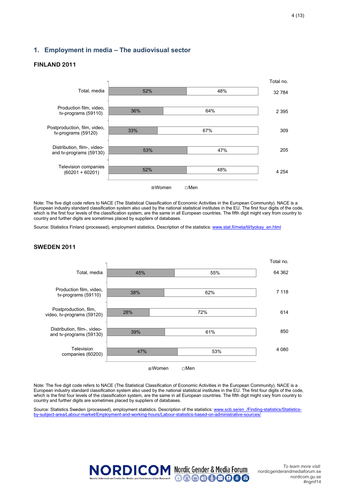#### **1. Employment in media – The audiovisual sector**

#### **FINLAND 2011**



Note: The five digit code refers to NACE (The Statistical Classification of Economic Activities in the European Community). NACE is a European industry standard classification system also used by the national statistical institutes in the EU. The first four digits of the code, which is the first four levels of the classification system, are the same in all European countries. The fifth digit might vary from country to country and further digits are sometimes placed by suppliers of databases.

Source: Statistics Finland (processed), employment statistics. Description of the statistics: www.stat.fi/meta/til/tyokay\_en.html

#### **SWEDEN 2011**



Note: The five digit code refers to NACE (The Statistical Classification of Economic Activities in the European Community). NACE is a European industry standard classification system also used by the national statistical institutes in the EU. The first four digits of the code, which is the first four levels of the classification system, are the same in all European countries. The fifth digit might vary from country to country and further digits are sometimes placed by suppliers of databases.

Source: Statistics Sweden (processed), employment statistics. Description of the statistics: www.scb.se/en /Finding-statistics/Statisticsby-subject-area/Labour-market/Employment-and-working-hours/Labour-statistics-based-on-administrative-sources/

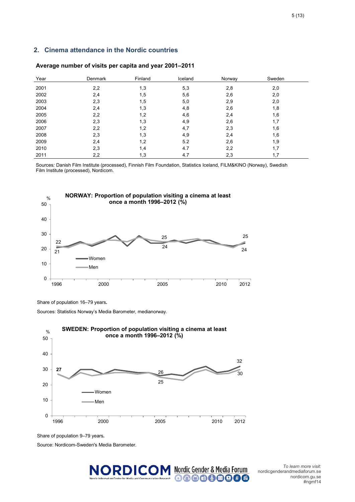#### **2. Cinema attendance in the Nordic countries**

| Year | Denmark | Finland | Iceland | Norway | Sweden |
|------|---------|---------|---------|--------|--------|
| 2001 | 2,2     | 1,3     | 5,3     | 2,8    | 2,0    |
| 2002 | 2,4     | 1,5     | 5,6     | 2,6    | 2,0    |
| 2003 | 2,3     | 1,5     | 5,0     | 2,9    | 2,0    |
| 2004 | 2,4     | 1,3     | 4,8     | 2,6    | 1,8    |
| 2005 | 2,2     | 1,2     | 4,6     | 2,4    | 1,6    |
| 2006 | 2,3     | 1,3     | 4,9     | 2,6    | 1,7    |
| 2007 | 2,2     | 1,2     | 4,7     | 2,3    | 1,6    |
| 2008 | 2,3     | 1,3     | 4,9     | 2,4    | 1,6    |
| 2009 | 2,4     | 1,2     | 5.2     | 2,6    | 1,9    |
| 2010 | 2,3     | 1,4     | 4.7     | 2,2    | 1,7    |
| 2011 | 2,2     | 1,3     | 4.7     | 2,3    | 1,7    |

#### **Average number of visits per capita and year 2001–2011**

Sources*:* Danish Film Institute (processed), Finnish Film Foundation, Statistics Iceland, FILM&KINO (Norway), Swedish Film Institute (processed), Nordicom.



Share of population 16–79 years**.** 

Sources: Statistics Norway's Media Barometer, medianorway.



Share of population 9–79 years**.** 

Source: Nordicom-Sweden's Media Barometer.



nordicgenderandmediaforum.se nordicom.gu.se #ngmf14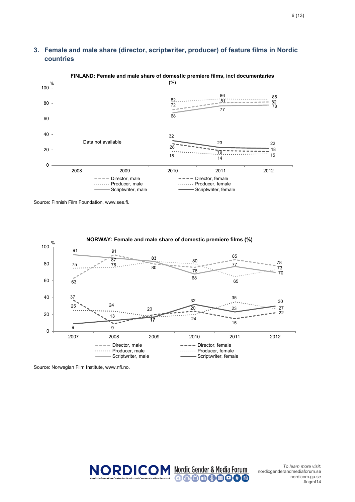### **3. Female and male share (director, scriptwriter, producer) of feature films in Nordic countries**



# **FINLAND: Female and male share of domestic premiere films, incl documentaries**

Source: Finnish Film Foundation, www.ses.fi.



Source: Norwegian Film Institute, www.nfi.no.

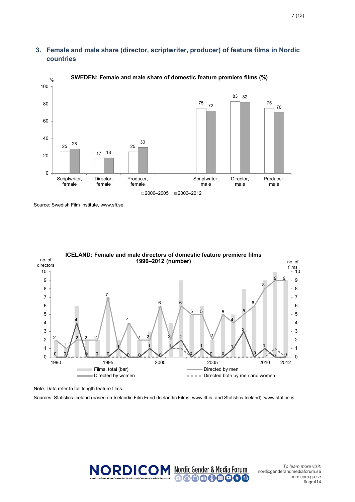### **3. Female and male share (director, scriptwriter, producer) of feature films in Nordic countries**



% **SWEDEN: Female and male share of domestic feature premiere films (%)**

Source: Swedish Film Institute, www.sfi.se.



Note: Data refer to full length feature films.

Sources: Statistics Iceland (based on Icelandic Film Fund (Icelandic Films, www.iff.is, and Statistics Iceland), www.statice.is.

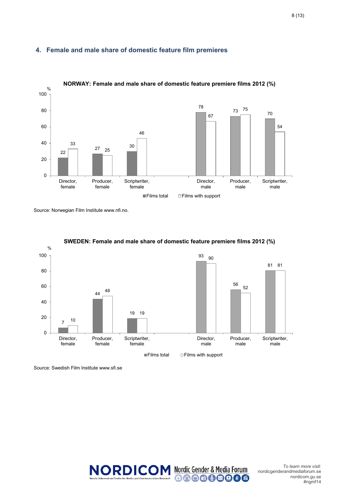#### **4. Female and male share of domestic feature film premieres**



#### **NORWAY: Female and male share of domestic feature premiere films 2012 (%)**

Source: Norwegian Film Institute www.nfi.no.



#### **SWEDEN: Female and male share of domestic feature premiere films 2012 (%)**

Source: Swedish Film Institute www.sfi.se



nordicgenderandmediaforum.se nordicom.gu.se #ngmf14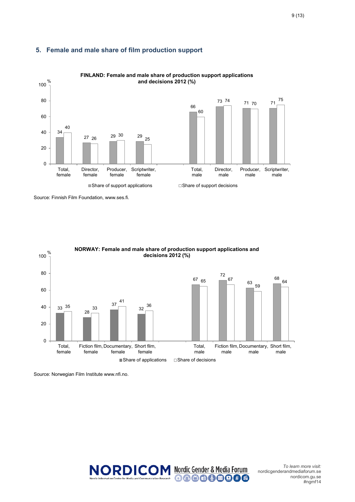#### **5. Female and male share of film production support**



# **FINLAND: Female and male share of production support applications**

Source: Finnish Film Foundation, www.ses.fi.



% **NORWAY: Female and male share of production support applications and** 

Source: Norwegian Film Institute www.nfi.no.

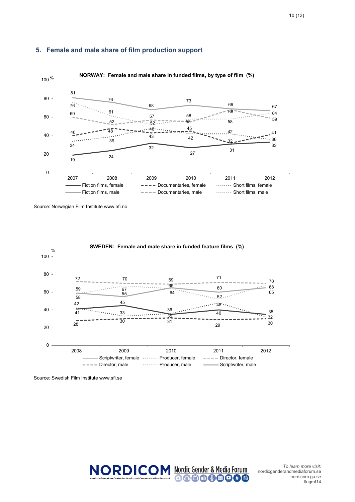



Source: Norwegian Film Institute www.nfi.no.



Source: Swedish Film Institute www.sfi.se

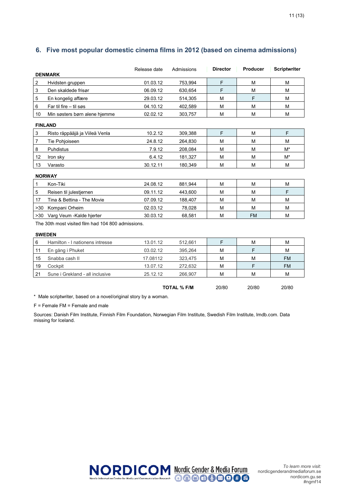|                |                                | Release date | Admissions | <b>Director</b> | Producer | <b>Scriptwriter</b> |
|----------------|--------------------------------|--------------|------------|-----------------|----------|---------------------|
|                | <b>DENMARK</b>                 |              |            |                 |          |                     |
| $\overline{c}$ | Hvidsten gruppen               | 01.03.12     | 753,994    | F               | M        | M                   |
| 3              | Den skaldede frisør            | 06.09.12     | 630,654    | F               | M        | M                   |
| 5              | En kongelig affære             | 29.03.12     | 514,305    | м               | F        | M                   |
| 6              | Far til fire $-$ til søs       | 04.10.12     | 402,589    | M               | M        | M                   |
| 10             | Min søsters børn alene hjemme  | 02.02.12     | 303,757    | M               | M        | M                   |
|                | <b>FINLAND</b>                 |              |            |                 |          |                     |
| 3              | Risto räppääjä ja Viileä Venla | 10.2.12      | 309,388    | F               | M        | F                   |
| 7              | Tie Pohjoiseen                 | 24.8.12      | 264,830    | M               | M        | M                   |
| 8              | <b>Puhdistus</b>               | 7.9.12       | 208,084    | M               | M        | M*                  |
| 12             | Iron sky                       | 6.4.12       | 181,327    | M               | M        | M*                  |
| 13             | Varasto                        | 30.12.11     | 180,349    | M               | M        | M                   |
|                | <b>NORWAY</b>                  |              |            |                 |          |                     |
| 1              | Kon-Tiki                       | 24.08.12     | 881,944    | M               | M        | M                   |
| 5              | Reisen til julestjernen        | 09.11.12     | 443,600    | M               | M        | F                   |
| 17             | Tina & Bettina - The Movie     | 07.09.12     | 188,407    | M               | M        | M                   |
| >30            | Kompani Orheim                 | 02.03.12     | 78,028     | M               | M        | M                   |

#### **6. Five most popular domestic cinema films in 2012 (based on cinema admissions)**

The 30th most visited film had 104 800 admissions.

#### **SWEDEN**

| 6  | Hamilton - I nationens intresse | 13.01.12 | 512.661 |   | M | M         |
|----|---------------------------------|----------|---------|---|---|-----------|
| 11 | En gång i Phuket                | 03.02.12 | 395.264 | м |   | M         |
| 15 | Snabba cash II                  | 17.08112 | 323.475 | М | M | <b>FM</b> |
| 19 | Cockpit                         | 13.07.12 | 272.632 | м |   | <b>FM</b> |
| 21 | Sune i Grekland - all inclusive | 25.12.12 | 266.907 | M | M | м         |
|    |                                 |          |         |   |   |           |

>30 Varg Veum -Kalde hjerter 30.03.12 68,581 M FM M

**TOTAL % F/M** 20/80 20/80 20/80

\* Male scriptwriter, based on a novel/original story by a woman.

F = Female FM = Female and male

Sources: Danish Film Institute, Finnish Film Foundation, Norwegian Film Institute, Swedish Film Institute, Imdb.com. Data missing for Iceland.

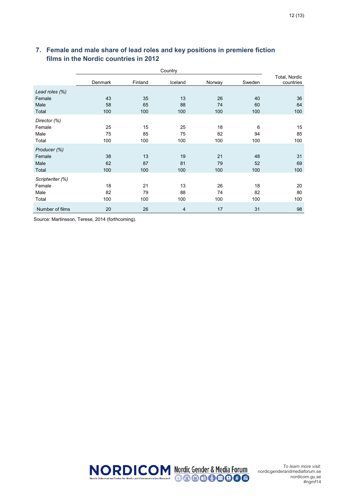### **7. Female and male share of lead roles and key positions in premiere fiction films in the Nordic countries in 2012**

|                  | Country |         |         |        |        |                            |
|------------------|---------|---------|---------|--------|--------|----------------------------|
|                  | Denmark | Finland | Iceland | Norway | Sweden | Total, Nordic<br>countries |
| Lead roles (%)   |         |         |         |        |        |                            |
| Female           | 43      | 35      | 13      | 26     | 40     | 36                         |
| Male             | 58      | 65      | 88      | 74     | 60     | 64                         |
| Total            | 100     | 100     | 100     | 100    | 100    | 100                        |
| Director (%)     |         |         |         |        |        |                            |
| Female           | 25      | 15      | 25      | 18     | 6      | 15                         |
| Male             | 75      | 85      | 75      | 82     | 94     | 85                         |
| Total            | 100     | 100     | 100     | 100    | 100    | 100                        |
| Producer (%)     |         |         |         |        |        |                            |
| Female           | 38      | 13      | 19      | 21     | 48     | 31                         |
| Male             | 62      | 87      | 81      | 79     | 52     | 69                         |
| Total            | 100     | 100     | 100     | 100    | 100    | 100                        |
| Scriptwriter (%) |         |         |         |        |        |                            |
| Female           | 18      | 21      | 13      | 26     | 18     | 20                         |
| Male             | 82      | 79      | 88      | 74     | 82     | 80                         |
| Total            | 100     | 100     | 100     | 100    | 100    | 100                        |
| Number of films  | 20      | 26      | 4       | 17     | 31     | 98                         |

Source: Martinsson, Terese, 2014 (forthcoming).

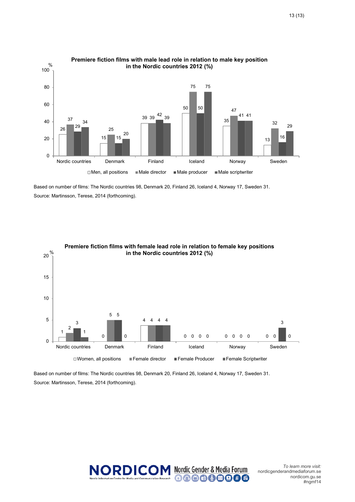

# **Premiere fiction films with male lead role in relation to male key position**

Based on number of films: The Nordic countries 98, Denmark 20, Finland 26, Iceland 4, Norway 17, Sweden 31. Source: Martinsson, Terese, 2014 (forthcoming).



**Premiere fiction films with female lead role in relation to female key positions** 

Based on number of films: The Nordic countries 98, Denmark 20, Finland 26, Iceland 4, Norway 17, Sweden 31. Source: Martinsson, Terese, 2014 (forthcoming).